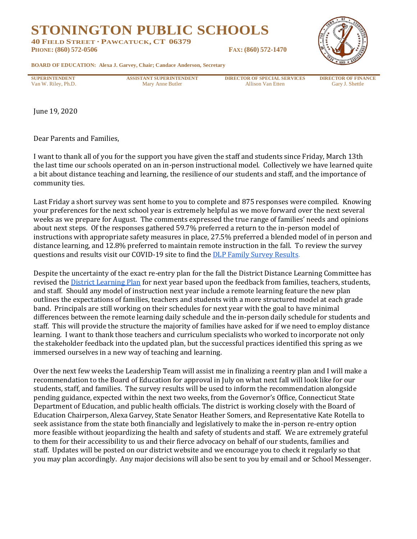**STONINGTON PUBLIC SCHOOLS**

**40 FIELD STREET · PAWCATUCK, CT 06379**

**PHONE: (860) 572-0506 FAX: (860) 572-1470**



**BOARD OF EDUCATION: Alexa J. Garvey, Chair; Candace Anderson, Secretary**

**SUPERINTENDENT ASSISTANT SUPERINTENDENT DIRECTOR OF SPECIAL SERVICES DIRECTOR OF FINANCE** Van W. Riley, Ph.D. Gary J. Shettle Mary Anne Butler Allison Van Etten Gary J. Shettle

June 19, 2020

Dear Parents and Families,

I want to thank all of you for the support you have given the staff and students since Friday, March 13th the last time our schools operated on an in-person instructional model. Collectively we have learned quite a bit about distance teaching and learning, the resilience of our students and staff, and the importance of community ties.

Last Friday a short survey was sent home to you to complete and 875 responses were compiled. Knowing your preferences for the next school year is extremely helpful as we move forward over the next several weeks as we prepare for August. The comments expressed the true range of families' needs and opinions about next steps. Of the responses gathered 59.7% preferred a return to the in-person model of instructions with appropriate safety measures in place, 27.5% preferred a blended model of in person and distance learning, and 12.8% preferred to maintain remote instruction in the fall. To review the survey questions and results visit our COVID-19 site to find the **DLP Family Survey Results**.

Despite the uncertainty of the exact re-entry plan for the fall the District Distance Learning Committee has revised the [District Learning Plan](https://drive.google.com/file/d/1E_r5R1HXOA_dtLhy6cKGCCSuvNiuJ6Et/view?usp=sharing) for next year based upon the feedback from families, teachers, students, and staff. Should any model of instruction next year include a remote learning feature the new plan outlines the expectations of families, teachers and students with a more structured model at each grade band. Principals are still working on their schedules for next year with the goal to have minimal differences between the remote learning daily schedule and the in-person daily schedule for students and staff. This will provide the structure the majority of families have asked for if we need to employ distance learning. I want to thank those teachers and curriculum specialists who worked to incorporate not only the stakeholder feedback into the updated plan, but the successful practices identified this spring as we immersed ourselves in a new way of teaching and learning.

Over the next few weeks the Leadership Team will assist me in finalizing a reentry plan and I will make a recommendation to the Board of Education for approval in July on what next fall will look like for our students, staff, and families. The survey results will be used to inform the recommendation alongside pending guidance, expected within the next two weeks, from the Governor's Office, Connecticut State Department of Education, and public health officials. The district is working closely with the Board of Education Chairperson, Alexa Garvey, State Senator Heather Somers, and Representative Kate Rotella to seek assistance from the state both financially and legislatively to make the in-person re-entry option more feasible without jeopardizing the health and safety of students and staff. We are extremely grateful to them for their accessibility to us and their fierce advocacy on behalf of our students, families and staff. Updates will be posted on our district website and we encourage you to check it regularly so that you may plan accordingly. Any major decisions will also be sent to you by email and or School Messenger.